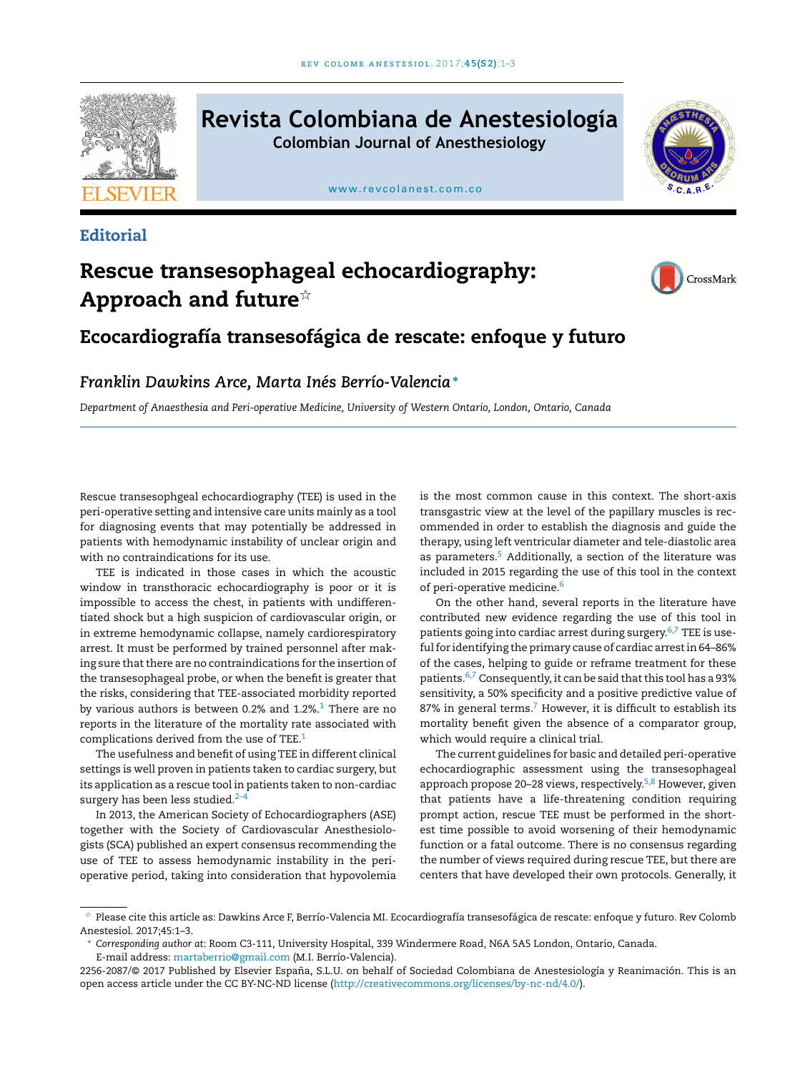

# **Revista Colombiana de Anestesiología Colombian Journal of Anesthesiology**

[www.revcolanest.com.co](http://www.revcolanest.com.co)



## **Editorial**

# Rescue transesophageal echocardiography: Approach and future $^\star$



# Ecocardiografía transesofágica de rescate: enfoque y futuro

## *Franklin Dawkins Arce, Marta Inés Berrío-Valencia*<sup>∗</sup>

*Department of Anaesthesia and Peri-operative Medicine, University of Western Ontario, London, Ontario, Canada*

Rescue transesophgeal echocardiography (TEE) is used in the peri-operative setting and intensive care units mainly as a tool for diagnosing events that may potentially be addressed in patients with hemodynamic instability of unclear origin and with no contraindications for its use.

TEE is indicated in those cases in which the acoustic window in transthoracic echocardiography is poor or it is impossible to access the chest, in patients with undifferentiated shock but a high suspicion of cardiovascular origin, or in extreme hemodynamic collapse, namely cardiorespiratory arrest. It must be performed by trained personnel after making sure that there are no contraindications for the insertion of the transesophageal probe, or when the benefit is greater that the risks, considering that TEE-associated morbidity reported by various authors is between 0.2% and [1](#page-1-0).2%.<sup>1</sup> There are no reports in the literature of the mortality rate associated with complications derived from the use of TEE.<sup>[1](#page-1-0)</sup>

The usefulness and benefit of using TEE in different clinical settings is well proven in patients taken to cardiac surgery, but its application as a rescue tool in patients taken to non-cardiac surgery has been less studied. $2-4$ 

In 2013, the American Society of Echocardiographers (ASE) together with the Society of Cardiovascular Anesthesiologists (SCA) published an expert consensus recommending the use of TEE to assess hemodynamic instability in the perioperative period, taking into consideration that hypovolemia is the most common cause in this context. The short-axis transgastric view at the level of the papillary muscles is recommended in order to establish the diagnosis and guide the therapy, using left ventricular diameter and tele-diastolic area as parameters.<sup>[5](#page-1-0)</sup> Additionally, a section of the literature was included in 2015 regarding the use of this tool in the context of peri-operative medicine.<sup>[6](#page-1-0)</sup>

On the other hand, several reports in the literature have contributed new evidence regarding the use of this tool in patients going into cardiac arrest during surgery.[6,7](#page-1-0) TEE is useful for identifying the primary cause of cardiac arrest in 64–86% of the cases, helping to guide or reframe treatment for these patients. $6,7$  Consequently, it can be said that this tool has a 93% sensitivity, a 50% specificity and a positive predictive value of 8[7](#page-1-0)% in general terms.<sup>7</sup> However, it is difficult to establish its mortality benefit given the absence of a comparator group, which would require a clinical trial.

The current guidelines for basic and detailed peri-operative echocardiographic assessment using the transesophageal approach propose 20–28 views, respectively.<sup>[5,8](#page-1-0)</sup> However, given that patients have a life-threatening condition requiring prompt action, rescue TEE must be performed in the shortest time possible to avoid worsening of their hemodynamic function or a fatal outcome. There is no consensus regarding the number of views required during rescue TEE, but there are centers that have developed their own protocols. Generally, it

<sup>-</sup> Please cite this article as: Dawkins Arce F, Berrío-Valencia MI. Ecocardiografía transesofágica de rescate: enfoque y futuro. Rev Colomb Anestesiol. 2017;45:1–3.

<sup>∗</sup> *Corresponding author at*: Room C3-111, University Hospital, 339 Windermere Road, N6A 5A5 London, Ontario, Canada. E-mail address: [martaberrio@gmail.com](mailto:martaberrio@gmail.com) (M.I. Berrío-Valencia).

<sup>2256-2087/© 2017</sup> Published by Elsevier España, S.L.U. on behalf of Sociedad Colombiana de Anestesiología y Reanimación. This is an open access article under the CC BY-NC-ND license ([http://creativecommons.org/licenses/by-nc-nd/4.0/\)](http://creativecommons.org/licenses/by-nc-nd/4.0/).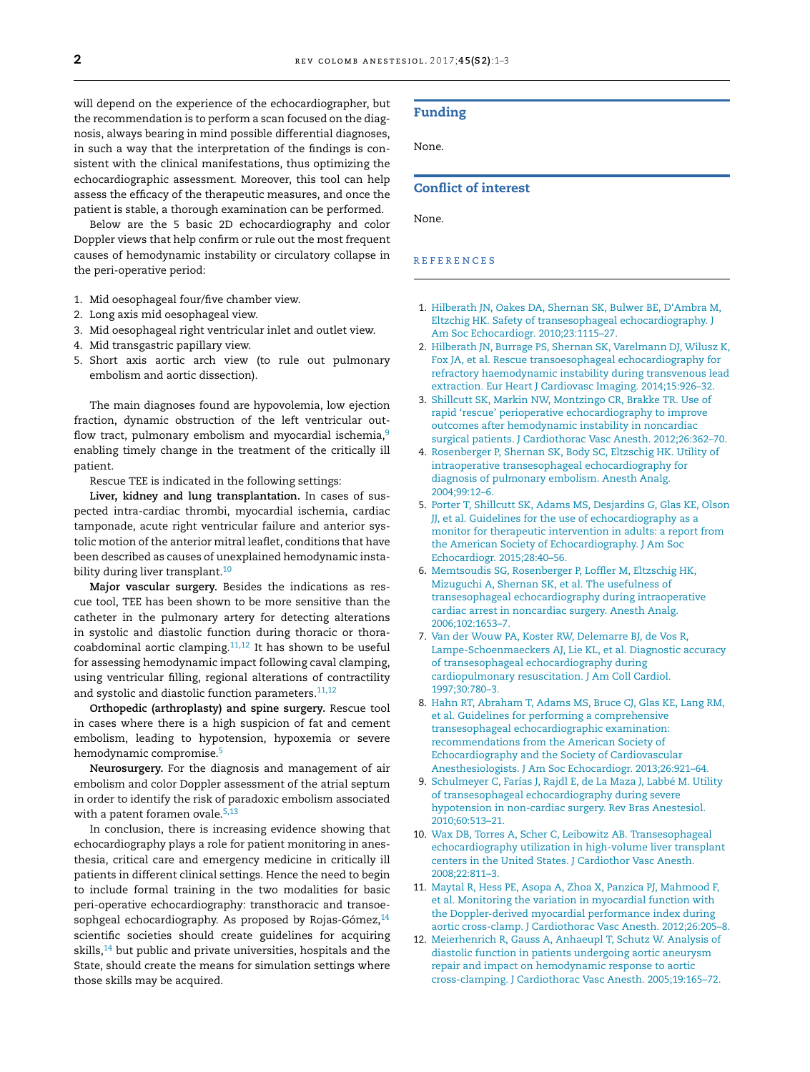<span id="page-1-0"></span>will depend on the experience of the echocardiographer, but the recommendation is to perform a scan focused on the diagnosis, always bearing in mind possible differential diagnoses, in such a way that the interpretation of the findings is consistent with the clinical manifestations, thus optimizing the echocardiographic assessment. Moreover, this tool can help assess the efficacy of the therapeutic measures, and once the patient is stable, a thorough examination can be performed.

Below are the 5 basic 2D echocardiography and color Doppler views that help confirm or rule out the most frequent causes of hemodynamic instability or circulatory collapse in the peri-operative period:

- 1. Mid oesophageal four/five chamber view.
- 2. Long axis mid oesophageal view.
- 3. Mid oesophageal right ventricular inlet and outlet view.
- 4. Mid transgastric papillary view.
- 5. Short axis aortic arch view (to rule out pulmonary embolism and aortic dissection).

The main diagnoses found are hypovolemia, low ejection fraction, dynamic obstruction of the left ventricular outflow tract, pulmonary embolism and myocardial ischemia,<sup>9</sup> enabling timely change in the treatment of the critically ill patient.

Rescue TEE is indicated in the following settings:

**Liver, kidney and lung transplantation.** In cases of suspected intra-cardiac thrombi, myocardial ischemia, cardiac tamponade, acute right ventricular failure and anterior systolic motion of the anterior mitral leaflet, conditions that have been described as causes of unexplained hemodynamic instability during liver transplant.<sup>10</sup>

**Major vascular surgery.** Besides the indications as rescue tool, TEE has been shown to be more sensitive than the catheter in the pulmonary artery for detecting alterations in systolic and diastolic function during thoracic or thoracoabdominal aortic clamping. $11,12$  It has shown to be useful for assessing hemodynamic impact following caval clamping, using ventricular filling, regional alterations of contractility and systolic and diastolic function parameters.<sup>11,12</sup>

**Orthopedic (arthroplasty) and spine surgery.** Rescue tool in cases where there is a high suspicion of fat and cement embolism, leading to hypotension, hypoxemia or severe hemodynamic compromise.<sup>5</sup>

**Neurosurgery.** For the diagnosis and management of air embolism and color Doppler assessment of the atrial septum in order to identify the risk of paradoxic embolism associated with a patent foramen ovale. $5,13$ 

In conclusion, there is increasing evidence showing that echocardiography plays a role for patient monitoring in anesthesia, critical care and emergency medicine in critically ill patients in different clinical settings. Hence the need to begin to include formal training in the two modalities for basic peri-operative echocardiography: transthoracic and transoesophgeal echocardiography. As proposed by Rojas-Gómez, $14$ scientific societies should create guidelines for acquiring skills,<sup>[14](#page-2-0)</sup> but public and private universities, hospitals and the State, should create the means for simulation settings where those skills may be acquired.

#### Funding

None.

### Conflict of interest

None.

#### r e f e r enc e s

- 1. [Hilberath](http://refhub.elsevier.com/S2256-2087(17)30078-0/sbref0075) [JN,](http://refhub.elsevier.com/S2256-2087(17)30078-0/sbref0075) [Oakes](http://refhub.elsevier.com/S2256-2087(17)30078-0/sbref0075) [DA,](http://refhub.elsevier.com/S2256-2087(17)30078-0/sbref0075) [Shernan](http://refhub.elsevier.com/S2256-2087(17)30078-0/sbref0075) [SK,](http://refhub.elsevier.com/S2256-2087(17)30078-0/sbref0075) [Bulwer](http://refhub.elsevier.com/S2256-2087(17)30078-0/sbref0075) [BE,](http://refhub.elsevier.com/S2256-2087(17)30078-0/sbref0075) [D'Ambra](http://refhub.elsevier.com/S2256-2087(17)30078-0/sbref0075) [M,](http://refhub.elsevier.com/S2256-2087(17)30078-0/sbref0075) [Eltzchig](http://refhub.elsevier.com/S2256-2087(17)30078-0/sbref0075) [HK.](http://refhub.elsevier.com/S2256-2087(17)30078-0/sbref0075) [Safety](http://refhub.elsevier.com/S2256-2087(17)30078-0/sbref0075) [of](http://refhub.elsevier.com/S2256-2087(17)30078-0/sbref0075) [transesophageal](http://refhub.elsevier.com/S2256-2087(17)30078-0/sbref0075) [echocardiography.](http://refhub.elsevier.com/S2256-2087(17)30078-0/sbref0075) [J](http://refhub.elsevier.com/S2256-2087(17)30078-0/sbref0075) [Am](http://refhub.elsevier.com/S2256-2087(17)30078-0/sbref0075) [Soc](http://refhub.elsevier.com/S2256-2087(17)30078-0/sbref0075) [Echocardiogr.](http://refhub.elsevier.com/S2256-2087(17)30078-0/sbref0075) [2010;23:1115](http://refhub.elsevier.com/S2256-2087(17)30078-0/sbref0075)–[27.](http://refhub.elsevier.com/S2256-2087(17)30078-0/sbref0075)
- 2. [Hilberath](http://refhub.elsevier.com/S2256-2087(17)30078-0/sbref0080) [JN,](http://refhub.elsevier.com/S2256-2087(17)30078-0/sbref0080) [Burrage](http://refhub.elsevier.com/S2256-2087(17)30078-0/sbref0080) [PS,](http://refhub.elsevier.com/S2256-2087(17)30078-0/sbref0080) [Shernan](http://refhub.elsevier.com/S2256-2087(17)30078-0/sbref0080) [SK,](http://refhub.elsevier.com/S2256-2087(17)30078-0/sbref0080) [Varelmann](http://refhub.elsevier.com/S2256-2087(17)30078-0/sbref0080) [DJ,](http://refhub.elsevier.com/S2256-2087(17)30078-0/sbref0080) [Wilusz](http://refhub.elsevier.com/S2256-2087(17)30078-0/sbref0080) [K,](http://refhub.elsevier.com/S2256-2087(17)30078-0/sbref0080) [Fox](http://refhub.elsevier.com/S2256-2087(17)30078-0/sbref0080) [JA,](http://refhub.elsevier.com/S2256-2087(17)30078-0/sbref0080) [et](http://refhub.elsevier.com/S2256-2087(17)30078-0/sbref0080) [al.](http://refhub.elsevier.com/S2256-2087(17)30078-0/sbref0080) [Rescue](http://refhub.elsevier.com/S2256-2087(17)30078-0/sbref0080) [transoesophageal](http://refhub.elsevier.com/S2256-2087(17)30078-0/sbref0080) [echocardiography](http://refhub.elsevier.com/S2256-2087(17)30078-0/sbref0080) [for](http://refhub.elsevier.com/S2256-2087(17)30078-0/sbref0080) [refractory](http://refhub.elsevier.com/S2256-2087(17)30078-0/sbref0080) [haemodynamic](http://refhub.elsevier.com/S2256-2087(17)30078-0/sbref0080) [instability](http://refhub.elsevier.com/S2256-2087(17)30078-0/sbref0080) [during](http://refhub.elsevier.com/S2256-2087(17)30078-0/sbref0080) [transvenous](http://refhub.elsevier.com/S2256-2087(17)30078-0/sbref0080) [lead](http://refhub.elsevier.com/S2256-2087(17)30078-0/sbref0080) [extraction.](http://refhub.elsevier.com/S2256-2087(17)30078-0/sbref0080) [Eur](http://refhub.elsevier.com/S2256-2087(17)30078-0/sbref0080) [Heart](http://refhub.elsevier.com/S2256-2087(17)30078-0/sbref0080) [J](http://refhub.elsevier.com/S2256-2087(17)30078-0/sbref0080) [Cardiovasc](http://refhub.elsevier.com/S2256-2087(17)30078-0/sbref0080) [Imaging.](http://refhub.elsevier.com/S2256-2087(17)30078-0/sbref0080) [2014;15:926–32.](http://refhub.elsevier.com/S2256-2087(17)30078-0/sbref0080)
- 3. [Shillcutt](http://refhub.elsevier.com/S2256-2087(17)30078-0/sbref0085) [SK,](http://refhub.elsevier.com/S2256-2087(17)30078-0/sbref0085) [Markin](http://refhub.elsevier.com/S2256-2087(17)30078-0/sbref0085) [NW,](http://refhub.elsevier.com/S2256-2087(17)30078-0/sbref0085) [Montzingo](http://refhub.elsevier.com/S2256-2087(17)30078-0/sbref0085) [CR,](http://refhub.elsevier.com/S2256-2087(17)30078-0/sbref0085) [Brakke](http://refhub.elsevier.com/S2256-2087(17)30078-0/sbref0085) [TR.](http://refhub.elsevier.com/S2256-2087(17)30078-0/sbref0085) [Use](http://refhub.elsevier.com/S2256-2087(17)30078-0/sbref0085) [of](http://refhub.elsevier.com/S2256-2087(17)30078-0/sbref0085) [rapid](http://refhub.elsevier.com/S2256-2087(17)30078-0/sbref0085) ['rescue'](http://refhub.elsevier.com/S2256-2087(17)30078-0/sbref0085) [perioperative](http://refhub.elsevier.com/S2256-2087(17)30078-0/sbref0085) [echocardiography](http://refhub.elsevier.com/S2256-2087(17)30078-0/sbref0085) [to](http://refhub.elsevier.com/S2256-2087(17)30078-0/sbref0085) [improve](http://refhub.elsevier.com/S2256-2087(17)30078-0/sbref0085) [outcomes](http://refhub.elsevier.com/S2256-2087(17)30078-0/sbref0085) [after](http://refhub.elsevier.com/S2256-2087(17)30078-0/sbref0085) [hemodynamic](http://refhub.elsevier.com/S2256-2087(17)30078-0/sbref0085) [instability](http://refhub.elsevier.com/S2256-2087(17)30078-0/sbref0085) [in](http://refhub.elsevier.com/S2256-2087(17)30078-0/sbref0085) [noncardiac](http://refhub.elsevier.com/S2256-2087(17)30078-0/sbref0085) [surgical](http://refhub.elsevier.com/S2256-2087(17)30078-0/sbref0085) [patients.](http://refhub.elsevier.com/S2256-2087(17)30078-0/sbref0085) [J](http://refhub.elsevier.com/S2256-2087(17)30078-0/sbref0085) [Cardiothorac](http://refhub.elsevier.com/S2256-2087(17)30078-0/sbref0085) [Vasc](http://refhub.elsevier.com/S2256-2087(17)30078-0/sbref0085) [Anesth.](http://refhub.elsevier.com/S2256-2087(17)30078-0/sbref0085) [2012;26:362–70.](http://refhub.elsevier.com/S2256-2087(17)30078-0/sbref0085)
- 4. [Rosenberger](http://refhub.elsevier.com/S2256-2087(17)30078-0/sbref0090) [P,](http://refhub.elsevier.com/S2256-2087(17)30078-0/sbref0090) [Shernan](http://refhub.elsevier.com/S2256-2087(17)30078-0/sbref0090) [SK,](http://refhub.elsevier.com/S2256-2087(17)30078-0/sbref0090) [Body](http://refhub.elsevier.com/S2256-2087(17)30078-0/sbref0090) [SC,](http://refhub.elsevier.com/S2256-2087(17)30078-0/sbref0090) [Eltzschig](http://refhub.elsevier.com/S2256-2087(17)30078-0/sbref0090) [HK.](http://refhub.elsevier.com/S2256-2087(17)30078-0/sbref0090) [Utility](http://refhub.elsevier.com/S2256-2087(17)30078-0/sbref0090) [of](http://refhub.elsevier.com/S2256-2087(17)30078-0/sbref0090) [intraoperative](http://refhub.elsevier.com/S2256-2087(17)30078-0/sbref0090) [transesophageal](http://refhub.elsevier.com/S2256-2087(17)30078-0/sbref0090) [echocardiography](http://refhub.elsevier.com/S2256-2087(17)30078-0/sbref0090) [for](http://refhub.elsevier.com/S2256-2087(17)30078-0/sbref0090) [diagnosis](http://refhub.elsevier.com/S2256-2087(17)30078-0/sbref0090) [of](http://refhub.elsevier.com/S2256-2087(17)30078-0/sbref0090) [pulmonary](http://refhub.elsevier.com/S2256-2087(17)30078-0/sbref0090) [embolism.](http://refhub.elsevier.com/S2256-2087(17)30078-0/sbref0090) [Anesth](http://refhub.elsevier.com/S2256-2087(17)30078-0/sbref0090) [Analg.](http://refhub.elsevier.com/S2256-2087(17)30078-0/sbref0090) [2004;99:12–6.](http://refhub.elsevier.com/S2256-2087(17)30078-0/sbref0090)
- 5. [Porter](http://refhub.elsevier.com/S2256-2087(17)30078-0/sbref0095) [T,](http://refhub.elsevier.com/S2256-2087(17)30078-0/sbref0095) [Shillcutt](http://refhub.elsevier.com/S2256-2087(17)30078-0/sbref0095) [SK,](http://refhub.elsevier.com/S2256-2087(17)30078-0/sbref0095) [Adams](http://refhub.elsevier.com/S2256-2087(17)30078-0/sbref0095) [MS,](http://refhub.elsevier.com/S2256-2087(17)30078-0/sbref0095) [Desjardins](http://refhub.elsevier.com/S2256-2087(17)30078-0/sbref0095) [G,](http://refhub.elsevier.com/S2256-2087(17)30078-0/sbref0095) [Glas](http://refhub.elsevier.com/S2256-2087(17)30078-0/sbref0095) [KE,](http://refhub.elsevier.com/S2256-2087(17)30078-0/sbref0095) [Olson](http://refhub.elsevier.com/S2256-2087(17)30078-0/sbref0095) [JJ,](http://refhub.elsevier.com/S2256-2087(17)30078-0/sbref0095) [et](http://refhub.elsevier.com/S2256-2087(17)30078-0/sbref0095) [al.](http://refhub.elsevier.com/S2256-2087(17)30078-0/sbref0095) [Guidelines](http://refhub.elsevier.com/S2256-2087(17)30078-0/sbref0095) [for](http://refhub.elsevier.com/S2256-2087(17)30078-0/sbref0095) [the](http://refhub.elsevier.com/S2256-2087(17)30078-0/sbref0095) [use](http://refhub.elsevier.com/S2256-2087(17)30078-0/sbref0095) [of](http://refhub.elsevier.com/S2256-2087(17)30078-0/sbref0095) [echocardiography](http://refhub.elsevier.com/S2256-2087(17)30078-0/sbref0095) [as](http://refhub.elsevier.com/S2256-2087(17)30078-0/sbref0095) [a](http://refhub.elsevier.com/S2256-2087(17)30078-0/sbref0095) [monitor](http://refhub.elsevier.com/S2256-2087(17)30078-0/sbref0095) [for](http://refhub.elsevier.com/S2256-2087(17)30078-0/sbref0095) [therapeutic](http://refhub.elsevier.com/S2256-2087(17)30078-0/sbref0095) [intervention](http://refhub.elsevier.com/S2256-2087(17)30078-0/sbref0095) [in](http://refhub.elsevier.com/S2256-2087(17)30078-0/sbref0095) [adults:](http://refhub.elsevier.com/S2256-2087(17)30078-0/sbref0095) [a](http://refhub.elsevier.com/S2256-2087(17)30078-0/sbref0095) [report](http://refhub.elsevier.com/S2256-2087(17)30078-0/sbref0095) [from](http://refhub.elsevier.com/S2256-2087(17)30078-0/sbref0095) [the](http://refhub.elsevier.com/S2256-2087(17)30078-0/sbref0095) [American](http://refhub.elsevier.com/S2256-2087(17)30078-0/sbref0095) [Society](http://refhub.elsevier.com/S2256-2087(17)30078-0/sbref0095) [of](http://refhub.elsevier.com/S2256-2087(17)30078-0/sbref0095) [Echocardiography.](http://refhub.elsevier.com/S2256-2087(17)30078-0/sbref0095) [J](http://refhub.elsevier.com/S2256-2087(17)30078-0/sbref0095) [Am](http://refhub.elsevier.com/S2256-2087(17)30078-0/sbref0095) [Soc](http://refhub.elsevier.com/S2256-2087(17)30078-0/sbref0095) [Echocardiogr.](http://refhub.elsevier.com/S2256-2087(17)30078-0/sbref0095) [2015;28:40](http://refhub.elsevier.com/S2256-2087(17)30078-0/sbref0095)–[56.](http://refhub.elsevier.com/S2256-2087(17)30078-0/sbref0095)
- 6. [Memtsoudis](http://refhub.elsevier.com/S2256-2087(17)30078-0/sbref0100) [SG,](http://refhub.elsevier.com/S2256-2087(17)30078-0/sbref0100) [Rosenberger](http://refhub.elsevier.com/S2256-2087(17)30078-0/sbref0100) [P,](http://refhub.elsevier.com/S2256-2087(17)30078-0/sbref0100) [Loffler](http://refhub.elsevier.com/S2256-2087(17)30078-0/sbref0100) [M,](http://refhub.elsevier.com/S2256-2087(17)30078-0/sbref0100) [Eltzschig](http://refhub.elsevier.com/S2256-2087(17)30078-0/sbref0100) [HK,](http://refhub.elsevier.com/S2256-2087(17)30078-0/sbref0100) [Mizuguchi](http://refhub.elsevier.com/S2256-2087(17)30078-0/sbref0100) [A,](http://refhub.elsevier.com/S2256-2087(17)30078-0/sbref0100) [Shernan](http://refhub.elsevier.com/S2256-2087(17)30078-0/sbref0100) [SK,](http://refhub.elsevier.com/S2256-2087(17)30078-0/sbref0100) [et](http://refhub.elsevier.com/S2256-2087(17)30078-0/sbref0100) [al.](http://refhub.elsevier.com/S2256-2087(17)30078-0/sbref0100) [The](http://refhub.elsevier.com/S2256-2087(17)30078-0/sbref0100) [usefulness](http://refhub.elsevier.com/S2256-2087(17)30078-0/sbref0100) [of](http://refhub.elsevier.com/S2256-2087(17)30078-0/sbref0100) [transesophageal](http://refhub.elsevier.com/S2256-2087(17)30078-0/sbref0100) [echocardiography](http://refhub.elsevier.com/S2256-2087(17)30078-0/sbref0100) [during](http://refhub.elsevier.com/S2256-2087(17)30078-0/sbref0100) [intraoperative](http://refhub.elsevier.com/S2256-2087(17)30078-0/sbref0100) [cardiac](http://refhub.elsevier.com/S2256-2087(17)30078-0/sbref0100) [arrest](http://refhub.elsevier.com/S2256-2087(17)30078-0/sbref0100) [in](http://refhub.elsevier.com/S2256-2087(17)30078-0/sbref0100) [noncardiac](http://refhub.elsevier.com/S2256-2087(17)30078-0/sbref0100) [surgery.](http://refhub.elsevier.com/S2256-2087(17)30078-0/sbref0100) [Anesth](http://refhub.elsevier.com/S2256-2087(17)30078-0/sbref0100) [Analg.](http://refhub.elsevier.com/S2256-2087(17)30078-0/sbref0100) [2006;102:1653](http://refhub.elsevier.com/S2256-2087(17)30078-0/sbref0100)–[7.](http://refhub.elsevier.com/S2256-2087(17)30078-0/sbref0100)
- 7. [Van](http://refhub.elsevier.com/S2256-2087(17)30078-0/sbref0105) [der](http://refhub.elsevier.com/S2256-2087(17)30078-0/sbref0105) [Wouw](http://refhub.elsevier.com/S2256-2087(17)30078-0/sbref0105) [PA,](http://refhub.elsevier.com/S2256-2087(17)30078-0/sbref0105) [Koster](http://refhub.elsevier.com/S2256-2087(17)30078-0/sbref0105) [RW,](http://refhub.elsevier.com/S2256-2087(17)30078-0/sbref0105) [Delemarre](http://refhub.elsevier.com/S2256-2087(17)30078-0/sbref0105) [BJ,](http://refhub.elsevier.com/S2256-2087(17)30078-0/sbref0105) [de](http://refhub.elsevier.com/S2256-2087(17)30078-0/sbref0105) [Vos](http://refhub.elsevier.com/S2256-2087(17)30078-0/sbref0105) [R,](http://refhub.elsevier.com/S2256-2087(17)30078-0/sbref0105) [Lampe-Schoenmaeckers](http://refhub.elsevier.com/S2256-2087(17)30078-0/sbref0105) [AJ,](http://refhub.elsevier.com/S2256-2087(17)30078-0/sbref0105) [Lie](http://refhub.elsevier.com/S2256-2087(17)30078-0/sbref0105) [KL,](http://refhub.elsevier.com/S2256-2087(17)30078-0/sbref0105) [et](http://refhub.elsevier.com/S2256-2087(17)30078-0/sbref0105) [al.](http://refhub.elsevier.com/S2256-2087(17)30078-0/sbref0105) [Diagnostic](http://refhub.elsevier.com/S2256-2087(17)30078-0/sbref0105) [accuracy](http://refhub.elsevier.com/S2256-2087(17)30078-0/sbref0105) [of](http://refhub.elsevier.com/S2256-2087(17)30078-0/sbref0105) [transesophageal](http://refhub.elsevier.com/S2256-2087(17)30078-0/sbref0105) [echocardiography](http://refhub.elsevier.com/S2256-2087(17)30078-0/sbref0105) [during](http://refhub.elsevier.com/S2256-2087(17)30078-0/sbref0105) [cardiopulmonary](http://refhub.elsevier.com/S2256-2087(17)30078-0/sbref0105) [resuscitation.](http://refhub.elsevier.com/S2256-2087(17)30078-0/sbref0105) [J](http://refhub.elsevier.com/S2256-2087(17)30078-0/sbref0105) [Am](http://refhub.elsevier.com/S2256-2087(17)30078-0/sbref0105) [Coll](http://refhub.elsevier.com/S2256-2087(17)30078-0/sbref0105) [Cardiol.](http://refhub.elsevier.com/S2256-2087(17)30078-0/sbref0105) [1997;30:780](http://refhub.elsevier.com/S2256-2087(17)30078-0/sbref0105)–[3.](http://refhub.elsevier.com/S2256-2087(17)30078-0/sbref0105)
- 8. [Hahn](http://refhub.elsevier.com/S2256-2087(17)30078-0/sbref0110) [RT,](http://refhub.elsevier.com/S2256-2087(17)30078-0/sbref0110) [Abraham](http://refhub.elsevier.com/S2256-2087(17)30078-0/sbref0110) [T,](http://refhub.elsevier.com/S2256-2087(17)30078-0/sbref0110) [Adams](http://refhub.elsevier.com/S2256-2087(17)30078-0/sbref0110) [MS,](http://refhub.elsevier.com/S2256-2087(17)30078-0/sbref0110) [Bruce](http://refhub.elsevier.com/S2256-2087(17)30078-0/sbref0110) [CJ,](http://refhub.elsevier.com/S2256-2087(17)30078-0/sbref0110) [Glas](http://refhub.elsevier.com/S2256-2087(17)30078-0/sbref0110) [KE,](http://refhub.elsevier.com/S2256-2087(17)30078-0/sbref0110) [Lang](http://refhub.elsevier.com/S2256-2087(17)30078-0/sbref0110) [RM,](http://refhub.elsevier.com/S2256-2087(17)30078-0/sbref0110) [et](http://refhub.elsevier.com/S2256-2087(17)30078-0/sbref0110) [al.](http://refhub.elsevier.com/S2256-2087(17)30078-0/sbref0110) [Guidelines](http://refhub.elsevier.com/S2256-2087(17)30078-0/sbref0110) [for](http://refhub.elsevier.com/S2256-2087(17)30078-0/sbref0110) [performing](http://refhub.elsevier.com/S2256-2087(17)30078-0/sbref0110) [a](http://refhub.elsevier.com/S2256-2087(17)30078-0/sbref0110) [comprehensive](http://refhub.elsevier.com/S2256-2087(17)30078-0/sbref0110) [transesophageal](http://refhub.elsevier.com/S2256-2087(17)30078-0/sbref0110) [echocardiographic](http://refhub.elsevier.com/S2256-2087(17)30078-0/sbref0110) [examination:](http://refhub.elsevier.com/S2256-2087(17)30078-0/sbref0110) [recommendations](http://refhub.elsevier.com/S2256-2087(17)30078-0/sbref0110) [from](http://refhub.elsevier.com/S2256-2087(17)30078-0/sbref0110) [the](http://refhub.elsevier.com/S2256-2087(17)30078-0/sbref0110) [American](http://refhub.elsevier.com/S2256-2087(17)30078-0/sbref0110) [Society](http://refhub.elsevier.com/S2256-2087(17)30078-0/sbref0110) [of](http://refhub.elsevier.com/S2256-2087(17)30078-0/sbref0110) [Echocardiography](http://refhub.elsevier.com/S2256-2087(17)30078-0/sbref0110) [and](http://refhub.elsevier.com/S2256-2087(17)30078-0/sbref0110) [the](http://refhub.elsevier.com/S2256-2087(17)30078-0/sbref0110) [Society](http://refhub.elsevier.com/S2256-2087(17)30078-0/sbref0110) [of](http://refhub.elsevier.com/S2256-2087(17)30078-0/sbref0110) [Cardiovascular](http://refhub.elsevier.com/S2256-2087(17)30078-0/sbref0110) [Anesthesiologists.](http://refhub.elsevier.com/S2256-2087(17)30078-0/sbref0110) [J](http://refhub.elsevier.com/S2256-2087(17)30078-0/sbref0110) [Am](http://refhub.elsevier.com/S2256-2087(17)30078-0/sbref0110) [Soc](http://refhub.elsevier.com/S2256-2087(17)30078-0/sbref0110) [Echocardiogr.](http://refhub.elsevier.com/S2256-2087(17)30078-0/sbref0110) [2013;26:921–64.](http://refhub.elsevier.com/S2256-2087(17)30078-0/sbref0110)
- 9. [Schulmeyer](http://refhub.elsevier.com/S2256-2087(17)30078-0/sbref0115) [C,](http://refhub.elsevier.com/S2256-2087(17)30078-0/sbref0115) [Farías](http://refhub.elsevier.com/S2256-2087(17)30078-0/sbref0115) [J,](http://refhub.elsevier.com/S2256-2087(17)30078-0/sbref0115) [Rajdl](http://refhub.elsevier.com/S2256-2087(17)30078-0/sbref0115) [E,](http://refhub.elsevier.com/S2256-2087(17)30078-0/sbref0115) [de](http://refhub.elsevier.com/S2256-2087(17)30078-0/sbref0115) [La](http://refhub.elsevier.com/S2256-2087(17)30078-0/sbref0115) [Maza](http://refhub.elsevier.com/S2256-2087(17)30078-0/sbref0115) [J,](http://refhub.elsevier.com/S2256-2087(17)30078-0/sbref0115) [Labbé](http://refhub.elsevier.com/S2256-2087(17)30078-0/sbref0115) [M.](http://refhub.elsevier.com/S2256-2087(17)30078-0/sbref0115) [Utility](http://refhub.elsevier.com/S2256-2087(17)30078-0/sbref0115) [of](http://refhub.elsevier.com/S2256-2087(17)30078-0/sbref0115) [transesophageal](http://refhub.elsevier.com/S2256-2087(17)30078-0/sbref0115) [echocardiography](http://refhub.elsevier.com/S2256-2087(17)30078-0/sbref0115) [during](http://refhub.elsevier.com/S2256-2087(17)30078-0/sbref0115) [severe](http://refhub.elsevier.com/S2256-2087(17)30078-0/sbref0115) [hypotension](http://refhub.elsevier.com/S2256-2087(17)30078-0/sbref0115) [in](http://refhub.elsevier.com/S2256-2087(17)30078-0/sbref0115) [non-cardiac](http://refhub.elsevier.com/S2256-2087(17)30078-0/sbref0115) [surgery.](http://refhub.elsevier.com/S2256-2087(17)30078-0/sbref0115) [Rev](http://refhub.elsevier.com/S2256-2087(17)30078-0/sbref0115) [Bras](http://refhub.elsevier.com/S2256-2087(17)30078-0/sbref0115) [Anestesiol.](http://refhub.elsevier.com/S2256-2087(17)30078-0/sbref0115) [2010;60:513–21.](http://refhub.elsevier.com/S2256-2087(17)30078-0/sbref0115)
- 10. [Wax](http://refhub.elsevier.com/S2256-2087(17)30078-0/sbref0120) [DB,](http://refhub.elsevier.com/S2256-2087(17)30078-0/sbref0120) [Torres](http://refhub.elsevier.com/S2256-2087(17)30078-0/sbref0120) [A,](http://refhub.elsevier.com/S2256-2087(17)30078-0/sbref0120) [Scher](http://refhub.elsevier.com/S2256-2087(17)30078-0/sbref0120) [C,](http://refhub.elsevier.com/S2256-2087(17)30078-0/sbref0120) [Leibowitz](http://refhub.elsevier.com/S2256-2087(17)30078-0/sbref0120) [AB.](http://refhub.elsevier.com/S2256-2087(17)30078-0/sbref0120) [Transesophageal](http://refhub.elsevier.com/S2256-2087(17)30078-0/sbref0120) [echocardiography](http://refhub.elsevier.com/S2256-2087(17)30078-0/sbref0120) [utilization](http://refhub.elsevier.com/S2256-2087(17)30078-0/sbref0120) [in](http://refhub.elsevier.com/S2256-2087(17)30078-0/sbref0120) [high-volume](http://refhub.elsevier.com/S2256-2087(17)30078-0/sbref0120) [liver](http://refhub.elsevier.com/S2256-2087(17)30078-0/sbref0120) [transplant](http://refhub.elsevier.com/S2256-2087(17)30078-0/sbref0120) [centers](http://refhub.elsevier.com/S2256-2087(17)30078-0/sbref0120) [in](http://refhub.elsevier.com/S2256-2087(17)30078-0/sbref0120) [the](http://refhub.elsevier.com/S2256-2087(17)30078-0/sbref0120) [United](http://refhub.elsevier.com/S2256-2087(17)30078-0/sbref0120) [States.](http://refhub.elsevier.com/S2256-2087(17)30078-0/sbref0120) [J](http://refhub.elsevier.com/S2256-2087(17)30078-0/sbref0120) [Cardiothor](http://refhub.elsevier.com/S2256-2087(17)30078-0/sbref0120) [Vasc](http://refhub.elsevier.com/S2256-2087(17)30078-0/sbref0120) [Anesth.](http://refhub.elsevier.com/S2256-2087(17)30078-0/sbref0120) [2008;22:811–3.](http://refhub.elsevier.com/S2256-2087(17)30078-0/sbref0120)
- 11. [Maytal](http://refhub.elsevier.com/S2256-2087(17)30078-0/sbref0125) [R,](http://refhub.elsevier.com/S2256-2087(17)30078-0/sbref0125) [Hess](http://refhub.elsevier.com/S2256-2087(17)30078-0/sbref0125) [PE,](http://refhub.elsevier.com/S2256-2087(17)30078-0/sbref0125) [Asopa](http://refhub.elsevier.com/S2256-2087(17)30078-0/sbref0125) [A,](http://refhub.elsevier.com/S2256-2087(17)30078-0/sbref0125) [Zhoa](http://refhub.elsevier.com/S2256-2087(17)30078-0/sbref0125) [X,](http://refhub.elsevier.com/S2256-2087(17)30078-0/sbref0125) [Panzica](http://refhub.elsevier.com/S2256-2087(17)30078-0/sbref0125) [PJ,](http://refhub.elsevier.com/S2256-2087(17)30078-0/sbref0125) [Mahmood](http://refhub.elsevier.com/S2256-2087(17)30078-0/sbref0125) [F,](http://refhub.elsevier.com/S2256-2087(17)30078-0/sbref0125) [et](http://refhub.elsevier.com/S2256-2087(17)30078-0/sbref0125) [al.](http://refhub.elsevier.com/S2256-2087(17)30078-0/sbref0125) [Monitoring](http://refhub.elsevier.com/S2256-2087(17)30078-0/sbref0125) [the](http://refhub.elsevier.com/S2256-2087(17)30078-0/sbref0125) [variation](http://refhub.elsevier.com/S2256-2087(17)30078-0/sbref0125) [in](http://refhub.elsevier.com/S2256-2087(17)30078-0/sbref0125) [myocardial](http://refhub.elsevier.com/S2256-2087(17)30078-0/sbref0125) [function](http://refhub.elsevier.com/S2256-2087(17)30078-0/sbref0125) [with](http://refhub.elsevier.com/S2256-2087(17)30078-0/sbref0125) [the](http://refhub.elsevier.com/S2256-2087(17)30078-0/sbref0125) [Doppler-derived](http://refhub.elsevier.com/S2256-2087(17)30078-0/sbref0125) [myocardial](http://refhub.elsevier.com/S2256-2087(17)30078-0/sbref0125) [performance](http://refhub.elsevier.com/S2256-2087(17)30078-0/sbref0125) [index](http://refhub.elsevier.com/S2256-2087(17)30078-0/sbref0125) [during](http://refhub.elsevier.com/S2256-2087(17)30078-0/sbref0125) [aortic](http://refhub.elsevier.com/S2256-2087(17)30078-0/sbref0125) [cross-clamp.](http://refhub.elsevier.com/S2256-2087(17)30078-0/sbref0125) [J](http://refhub.elsevier.com/S2256-2087(17)30078-0/sbref0125) [Cardiothorac](http://refhub.elsevier.com/S2256-2087(17)30078-0/sbref0125) [Vasc](http://refhub.elsevier.com/S2256-2087(17)30078-0/sbref0125) [Anesth.](http://refhub.elsevier.com/S2256-2087(17)30078-0/sbref0125) [2012;26:205](http://refhub.elsevier.com/S2256-2087(17)30078-0/sbref0125)–[8.](http://refhub.elsevier.com/S2256-2087(17)30078-0/sbref0125)
- 12. [Meierhenrich](http://refhub.elsevier.com/S2256-2087(17)30078-0/sbref0130) [R,](http://refhub.elsevier.com/S2256-2087(17)30078-0/sbref0130) [Gauss](http://refhub.elsevier.com/S2256-2087(17)30078-0/sbref0130) [A,](http://refhub.elsevier.com/S2256-2087(17)30078-0/sbref0130) [Anhaeupl](http://refhub.elsevier.com/S2256-2087(17)30078-0/sbref0130) [T,](http://refhub.elsevier.com/S2256-2087(17)30078-0/sbref0130) [Schutz](http://refhub.elsevier.com/S2256-2087(17)30078-0/sbref0130) [W.](http://refhub.elsevier.com/S2256-2087(17)30078-0/sbref0130) [Analysis](http://refhub.elsevier.com/S2256-2087(17)30078-0/sbref0130) [of](http://refhub.elsevier.com/S2256-2087(17)30078-0/sbref0130) [diastolic](http://refhub.elsevier.com/S2256-2087(17)30078-0/sbref0130) [function](http://refhub.elsevier.com/S2256-2087(17)30078-0/sbref0130) [in](http://refhub.elsevier.com/S2256-2087(17)30078-0/sbref0130) [patients](http://refhub.elsevier.com/S2256-2087(17)30078-0/sbref0130) [undergoing](http://refhub.elsevier.com/S2256-2087(17)30078-0/sbref0130) [aortic](http://refhub.elsevier.com/S2256-2087(17)30078-0/sbref0130) [aneurysm](http://refhub.elsevier.com/S2256-2087(17)30078-0/sbref0130) [repair](http://refhub.elsevier.com/S2256-2087(17)30078-0/sbref0130) [and](http://refhub.elsevier.com/S2256-2087(17)30078-0/sbref0130) [impact](http://refhub.elsevier.com/S2256-2087(17)30078-0/sbref0130) [on](http://refhub.elsevier.com/S2256-2087(17)30078-0/sbref0130) [hemodynamic](http://refhub.elsevier.com/S2256-2087(17)30078-0/sbref0130) [response](http://refhub.elsevier.com/S2256-2087(17)30078-0/sbref0130) [to](http://refhub.elsevier.com/S2256-2087(17)30078-0/sbref0130) [aortic](http://refhub.elsevier.com/S2256-2087(17)30078-0/sbref0130) [cross-clamping.](http://refhub.elsevier.com/S2256-2087(17)30078-0/sbref0130) [J](http://refhub.elsevier.com/S2256-2087(17)30078-0/sbref0130) [Cardiothorac](http://refhub.elsevier.com/S2256-2087(17)30078-0/sbref0130) [Vasc](http://refhub.elsevier.com/S2256-2087(17)30078-0/sbref0130) [Anesth.](http://refhub.elsevier.com/S2256-2087(17)30078-0/sbref0130) [2005;19:165](http://refhub.elsevier.com/S2256-2087(17)30078-0/sbref0130)–[72.](http://refhub.elsevier.com/S2256-2087(17)30078-0/sbref0130)